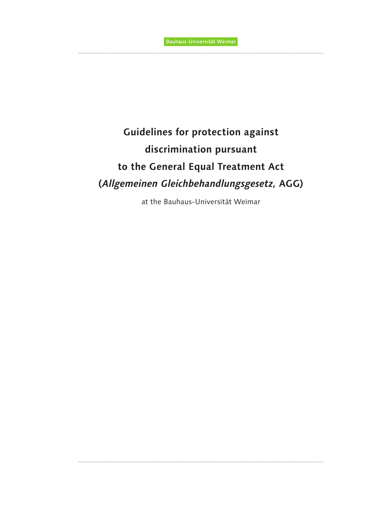# **Guidelines for protection against discrimination pursuant to the General Equal Treatment Act (***Allgemeinen Gleichbehandlungsgesetz,* **AGG)**

at the Bauhaus-Universität Weimar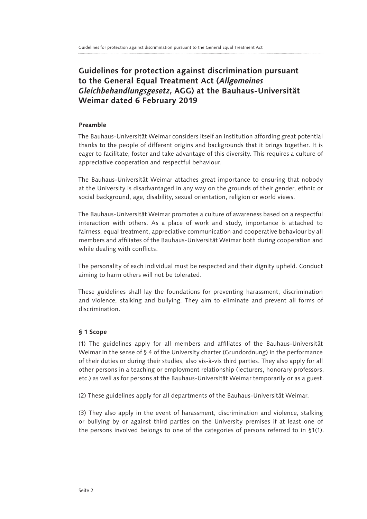# **Guidelines for protection against discrimination pursuant to the General Equal Treatment Act (***Allgemeines Gleichbehandlungsgesetz***, AGG) at the Bauhaus-Universität Weimar dated 6 February 2019**

#### **Preamble**

The Bauhaus-Universität Weimar considers itself an institution affording great potential thanks to the people of different origins and backgrounds that it brings together. It is eager to facilitate, foster and take advantage of this diversity. This requires a culture of appreciative cooperation and respectful behaviour.

The Bauhaus-Universität Weimar attaches great importance to ensuring that nobody at the University is disadvantaged in any way on the grounds of their gender, ethnic or social background, age, disability, sexual orientation, religion or world views.

The Bauhaus-Universität Weimar promotes a culture of awareness based on a respectful interaction with others. As a place of work and study, importance is attached to fairness, equal treatment, appreciative communication and cooperative behaviour by all members and affiliates of the Bauhaus-Universität Weimar both during cooperation and while dealing with conflicts.

The personality of each individual must be respected and their dignity upheld. Conduct aiming to harm others will not be tolerated.

These guidelines shall lay the foundations for preventing harassment, discrimination and violence, stalking and bullying. They aim to eliminate and prevent all forms of discrimination.

# **§ 1 Scope**

(1) The guidelines apply for all members and affiliates of the Bauhaus-Universität Weimar in the sense of § 4 of the University charter (Grundordnung) in the performance of their duties or during their studies, also vis-à-vis third parties. They also apply for all other persons in a teaching or employment relationship (lecturers, honorary professors, etc.) as well as for persons at the Bauhaus-Universität Weimar temporarily or as a guest.

(2) These guidelines apply for all departments of the Bauhaus-Universität Weimar.

(3) They also apply in the event of harassment, discrimination and violence, stalking or bullying by or against third parties on the University premises if at least one of the persons involved belongs to one of the categories of persons referred to in §1(1).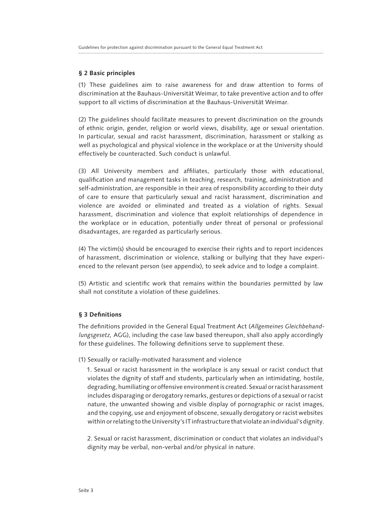#### **§ 2 Basic principles**

(1) These guidelines aim to raise awareness for and draw attention to forms of discrimination at the Bauhaus-Universität Weimar, to take preventive action and to offer support to all victims of discrimination at the Bauhaus-Universität Weimar.

(2) The guidelines should facilitate measures to prevent discrimination on the grounds of ethnic origin, gender, religion or world views, disability, age or sexual orientation. In particular, sexual and racist harassment, discrimination, harassment or stalking as well as psychological and physical violence in the workplace or at the University should effectively be counteracted. Such conduct is unlawful.

(3) All University members and affiliates, particularly those with educational, qualification and management tasks in teaching, research, training, administration and self-administration, are responsible in their area of responsibility according to their duty of care to ensure that particularly sexual and racist harassment, discrimination and violence are avoided or eliminated and treated as a violation of rights. Sexual harassment, discrimination and violence that exploit relationships of dependence in the workplace or in education, potentially under threat of personal or professional disadvantages, are regarded as particularly serious.

(4) The victim(s) should be encouraged to exercise their rights and to report incidences of harassment, discrimination or violence, stalking or bullying that they have experienced to the relevant person (see appendix), to seek advice and to lodge a complaint.

(5) Artistic and scientific work that remains within the boundaries permitted by law shall not constitute a violation of these guidelines.

#### **§ 3 Definitions**

The definitions provided in the General Equal Treatment Act (*Allgemeines Gleichbehandlungsgesetz,* AGG), including the case law based thereupon, shall also apply accordingly for these guidelines. The following definitions serve to supplement these.

#### (1) Sexually or racially-motivated harassment and violence

1. Sexual or racist harassment in the workplace is any sexual or racist conduct that violates the dignity of staff and students, particularly when an intimidating, hostile, degrading, humiliating or offensive environment is created. Sexual or racist harassment includes disparaging or derogatory remarks, gestures or depictions of a sexual or racist nature, the unwanted showing and visible display of pornographic or racist images, and the copying, use and enjoyment of obscene, sexually derogatory or racist websites within or relating to the University's IT infrastructure that violate an individual's dignity.

2. Sexual or racist harassment, discrimination or conduct that violates an individual's dignity may be verbal, non-verbal and/or physical in nature.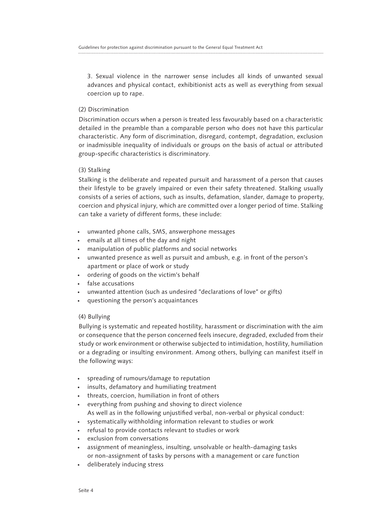3. Sexual violence in the narrower sense includes all kinds of unwanted sexual advances and physical contact, exhibitionist acts as well as everything from sexual coercion up to rape.

# (2) Discrimination

Discrimination occurs when a person is treated less favourably based on a characteristic detailed in the preamble than a comparable person who does not have this particular characteristic. Any form of discrimination, disregard, contempt, degradation, exclusion or inadmissible inequality of individuals or groups on the basis of actual or attributed group-specific characteristics is discriminatory.

# (3) Stalking

Stalking is the deliberate and repeated pursuit and harassment of a person that causes their lifestyle to be gravely impaired or even their safety threatened. Stalking usually consists of a series of actions, such as insults, defamation, slander, damage to property, coercion and physical injury, which are committed over a longer period of time. Stalking can take a variety of different forms, these include:

- unwanted phone calls, SMS, answerphone messages
- emails at all times of the day and night
- manipulation of public platforms and social networks
- unwanted presence as well as pursuit and ambush, e.g. in front of the person's apartment or place of work or study
- ordering of goods on the victim's behalf
- false accusations
- unwanted attention (such as undesired "declarations of love" or gifts)
- questioning the person's acquaintances

# (4) Bullying

Bullying is systematic and repeated hostility, harassment or discrimination with the aim or consequence that the person concerned feels insecure, degraded, excluded from their study or work environment or otherwise subjected to intimidation, hostility, humiliation or a degrading or insulting environment. Among others, bullying can manifest itself in the following ways:

- spreading of rumours/damage to reputation
- insults, defamatory and humiliating treatment
- threats, coercion, humiliation in front of others
- everything from pushing and shoving to direct violence As well as in the following unjustified verbal, non-verbal or physical conduct:
- systematically withholding information relevant to studies or work
- refusal to provide contacts relevant to studies or work
- exclusion from conversations
- assignment of meaningless, insulting, unsolvable or health-damaging tasks or non-assignment of tasks by persons with a management or care function
- deliberately inducing stress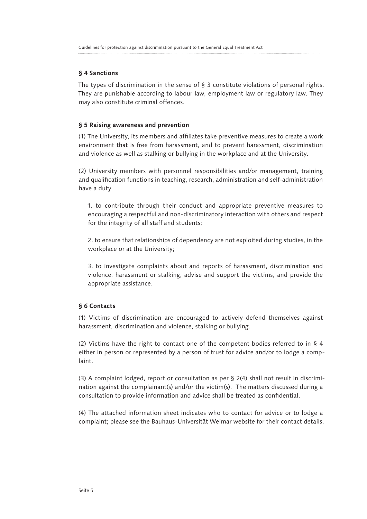#### **§ 4 Sanctions**

The types of discrimination in the sense of § 3 constitute violations of personal rights. They are punishable according to labour law, employment law or regulatory law. They may also constitute criminal offences.

#### **§ 5 Raising awareness and prevention**

(1) The University, its members and affiliates take preventive measures to create a work environment that is free from harassment, and to prevent harassment, discrimination and violence as well as stalking or bullying in the workplace and at the University.

(2) University members with personnel responsibilities and/or management, training and qualification functions in teaching, research, administration and self-administration have a duty

1. to contribute through their conduct and appropriate preventive measures to encouraging a respectful and non-discriminatory interaction with others and respect for the integrity of all staff and students;

2. to ensure that relationships of dependency are not exploited during studies, in the workplace or at the University;

3. to investigate complaints about and reports of harassment, discrimination and violence, harassment or stalking, advise and support the victims, and provide the appropriate assistance.

#### **§ 6 Contacts**

(1) Victims of discrimination are encouraged to actively defend themselves against harassment, discrimination and violence, stalking or bullying.

(2) Victims have the right to contact one of the competent bodies referred to in § 4 either in person or represented by a person of trust for advice and/or to lodge a complaint.

(3) A complaint lodged, report or consultation as per § 2(4) shall not result in discrimination against the complainant(s) and/or the victim(s). The matters discussed during a consultation to provide information and advice shall be treated as confidential.

(4) The attached information sheet indicates who to contact for advice or to lodge a complaint; please see the Bauhaus-Universität Weimar website for their contact details.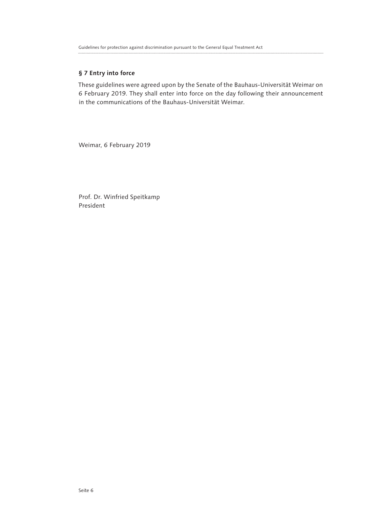### **§ 7 Entry into force**

These guidelines were agreed upon by the Senate of the Bauhaus-Universität Weimar on 6 February 2019. They shall enter into force on the day following their announcement in the communications of the Bauhaus-Universität Weimar.

Weimar, 6 February 2019

Prof. Dr. Winfried Speitkamp President